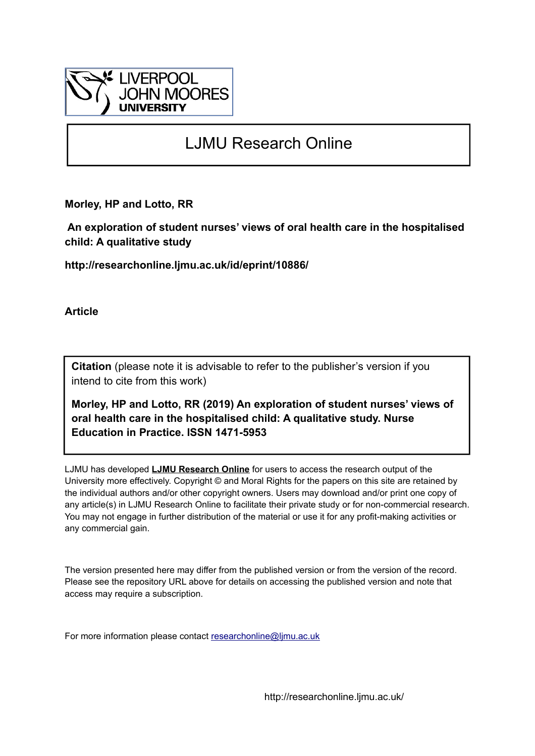

# LJMU Research Online

**Morley, HP and Lotto, RR**

 **An exploration of student nurses' views of oral health care in the hospitalised child: A qualitative study**

**http://researchonline.ljmu.ac.uk/id/eprint/10886/**

**Article**

**Citation** (please note it is advisable to refer to the publisher's version if you intend to cite from this work)

**Morley, HP and Lotto, RR (2019) An exploration of student nurses' views of oral health care in the hospitalised child: A qualitative study. Nurse Education in Practice. ISSN 1471-5953** 

LJMU has developed **[LJMU Research Online](http://researchonline.ljmu.ac.uk/)** for users to access the research output of the University more effectively. Copyright © and Moral Rights for the papers on this site are retained by the individual authors and/or other copyright owners. Users may download and/or print one copy of any article(s) in LJMU Research Online to facilitate their private study or for non-commercial research. You may not engage in further distribution of the material or use it for any profit-making activities or any commercial gain.

The version presented here may differ from the published version or from the version of the record. Please see the repository URL above for details on accessing the published version and note that access may require a subscription.

For more information please contact [researchonline@ljmu.ac.uk](mailto:researchonline@ljmu.ac.uk)

http://researchonline.ljmu.ac.uk/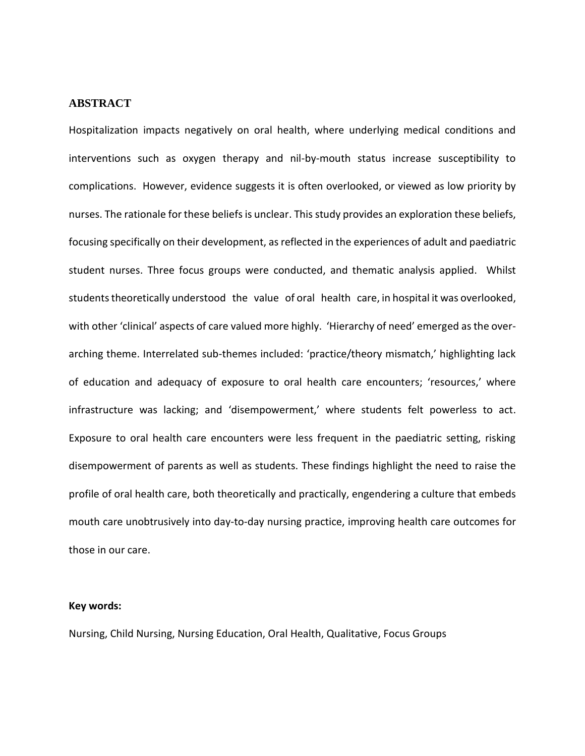### **ABSTRACT**

Hospitalization impacts negatively on oral health, where underlying medical conditions and interventions such as oxygen therapy and nil-by-mouth status increase susceptibility to complications. However, evidence suggests it is often overlooked, or viewed as low priority by nurses. The rationale for these beliefs is unclear. This study provides an exploration these beliefs, focusing specifically on their development, as reflected in the experiences of adult and paediatric student nurses. Three focus groups were conducted, and thematic analysis applied. Whilst students theoretically understood the value of oral health care, in hospital it was overlooked, with other 'clinical' aspects of care valued more highly. 'Hierarchy of need' emerged as the overarching theme. Interrelated sub-themes included: 'practice/theory mismatch,' highlighting lack of education and adequacy of exposure to oral health care encounters; 'resources,' where infrastructure was lacking; and 'disempowerment,' where students felt powerless to act. Exposure to oral health care encounters were less frequent in the paediatric setting, risking disempowerment of parents as well as students. These findings highlight the need to raise the profile of oral health care, both theoretically and practically, engendering a culture that embeds mouth care unobtrusively into day-to-day nursing practice, improving health care outcomes for those in our care.

#### **Key words:**

Nursing, Child Nursing, Nursing Education, Oral Health, Qualitative, Focus Groups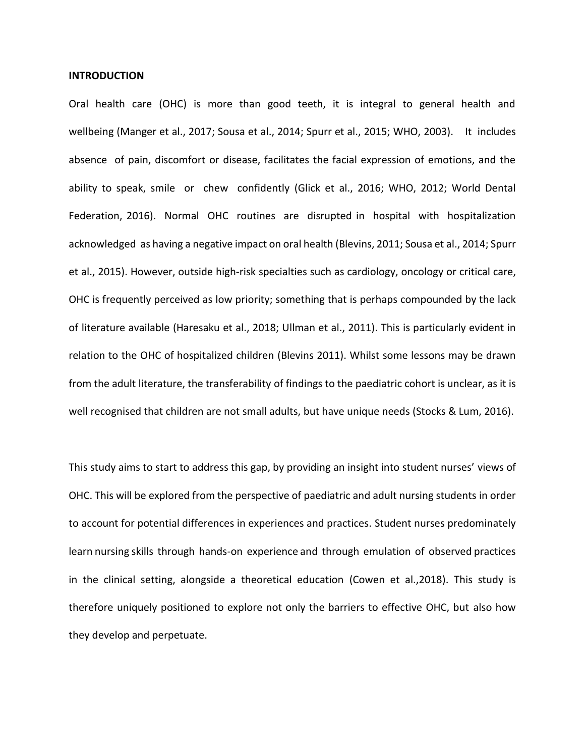#### **INTRODUCTION**

Oral health care (OHC) is more than good teeth, it is integral to general health and wellbeing (Manger et al., 2017; Sousa et al., 2014; Spurr et al., 2015; WHO, 2003). It includes absence of pain, discomfort or disease, facilitates the facial expression of emotions, and the ability to speak, smile or chew confidently (Glick et al., 2016; WHO, 2012; World Dental Federation, 2016). Normal OHC routines are disrupted in hospital with hospitalization acknowledged as having a negative impact on oral health (Blevins, 2011; Sousa et al., 2014; Spurr et al., 2015). However, outside high-risk specialties such as cardiology, oncology or critical care, OHC is frequently perceived as low priority; something that is perhaps compounded by the lack of literature available (Haresaku et al., 2018; Ullman et al., 2011). This is particularly evident in relation to the OHC of hospitalized children (Blevins 2011). Whilst some lessons may be drawn from the adult literature, the transferability of findings to the paediatric cohort is unclear, as it is well recognised that children are not small adults, but have unique needs (Stocks & Lum, 2016).

This study aims to start to address this gap, by providing an insight into student nurses' views of OHC. This will be explored from the perspective of paediatric and adult nursing students in order to account for potential differences in experiences and practices. Student nurses predominately learn nursing skills through hands-on experience and through emulation of observed practices in the clinical setting, alongside a theoretical education (Cowen et al.,2018). This study is therefore uniquely positioned to explore not only the barriers to effective OHC, but also how they develop and perpetuate.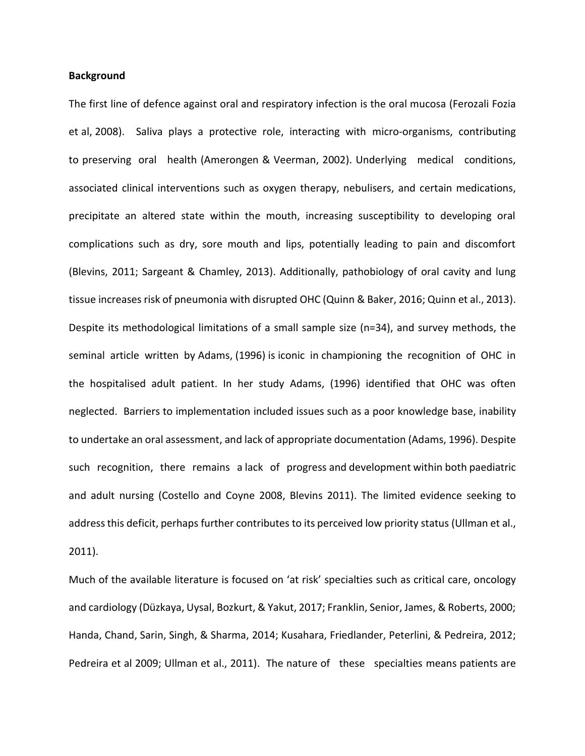## **Background**

The first line of defence against oral and respiratory infection is the oral mucosa (Ferozali Fozia et al, 2008). Saliva plays a protective role, interacting with micro-organisms, contributing to preserving oral health (Amerongen & Veerman, 2002). Underlying medical conditions, associated clinical interventions such as oxygen therapy, nebulisers, and certain medications, precipitate an altered state within the mouth, increasing susceptibility to developing oral complications such as dry, sore mouth and lips, potentially leading to pain and discomfort (Blevins, 2011; Sargeant & Chamley, 2013). Additionally, pathobiology of oral cavity and lung tissue increases risk of pneumonia with disrupted OHC (Quinn & Baker, 2016; Quinn et al., 2013). Despite its methodological limitations of a small sample size (n=34), and survey methods, the seminal article written by Adams, (1996) is iconic in championing the recognition of OHC in the hospitalised adult patient. In her study Adams, (1996) identified that OHC was often neglected. Barriers to implementation included issues such as a poor knowledge base, inability to undertake an oral assessment, and lack of appropriate documentation (Adams, 1996). Despite such recognition, there remains a lack of progress and development within both paediatric and adult nursing (Costello and Coyne 2008, Blevins 2011). The limited evidence seeking to address this deficit, perhaps further contributes to its perceived low priority status (Ullman et al., 2011).

Much of the available literature is focused on 'at risk' specialties such as critical care, oncology and cardiology (Düzkaya, Uysal, Bozkurt, & Yakut, 2017; Franklin, Senior, James, & Roberts, 2000; Handa, Chand, Sarin, Singh, & Sharma, 2014; Kusahara, Friedlander, Peterlini, & Pedreira, 2012; Pedreira et al 2009; Ullman et al., 2011). The nature of these specialties means patients are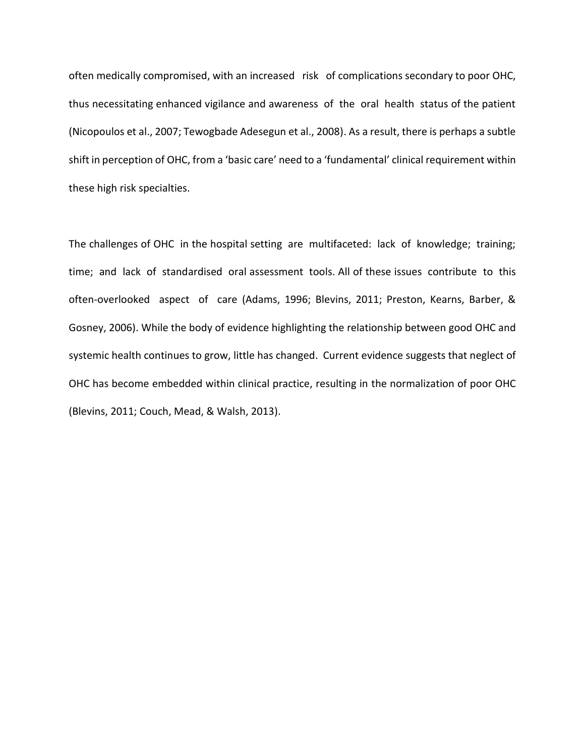often medically compromised, with an increased risk of complications secondary to poor OHC, thus necessitating enhanced vigilance and awareness of the oral health status of the patient (Nicopoulos et al., 2007; Tewogbade Adesegun et al., 2008). As a result, there is perhaps a subtle shift in perception of OHC, from a 'basic care' need to a 'fundamental' clinical requirement within these high risk specialties.

The challenges of OHC in the hospital setting are multifaceted: lack of knowledge; training; time; and lack of standardised oral assessment tools. All of these issues contribute to this often-overlooked aspect of care (Adams, 1996; Blevins, 2011; Preston, Kearns, Barber, & Gosney, 2006). While the body of evidence highlighting the relationship between good OHC and systemic health continues to grow, little has changed. Current evidence suggests that neglect of OHC has become embedded within clinical practice, resulting in the normalization of poor OHC (Blevins, 2011; Couch, Mead, & Walsh, 2013).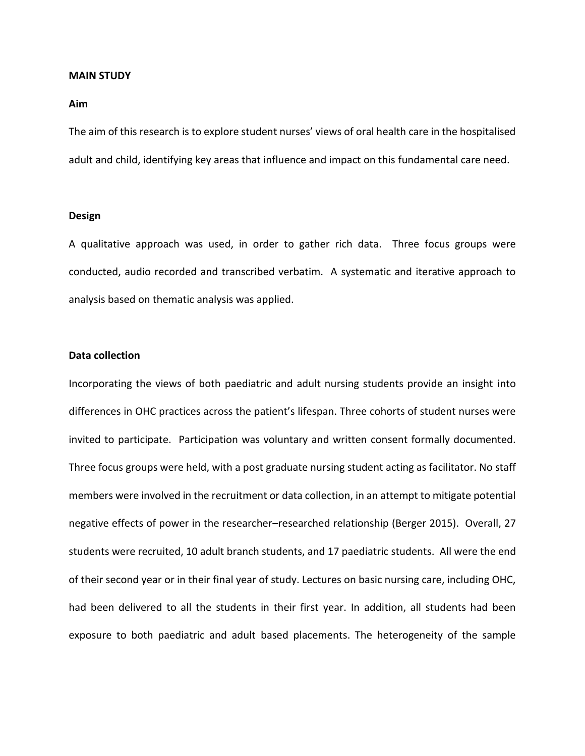#### **MAIN STUDY**

#### **Aim**

The aim of this research is to explore student nurses' views of oral health care in the hospitalised adult and child, identifying key areas that influence and impact on this fundamental care need.

#### **Design**

A qualitative approach was used, in order to gather rich data. Three focus groups were conducted, audio recorded and transcribed verbatim. A systematic and iterative approach to analysis based on thematic analysis was applied.

#### **Data collection**

Incorporating the views of both paediatric and adult nursing students provide an insight into differences in OHC practices across the patient's lifespan. Three cohorts of student nurses were invited to participate. Participation was voluntary and written consent formally documented. Three focus groups were held, with a post graduate nursing student acting as facilitator. No staff members were involved in the recruitment or data collection, in an attempt to mitigate potential negative effects of power in the researcher–researched relationship (Berger 2015). Overall, 27 students were recruited, 10 adult branch students, and 17 paediatric students. All were the end of their second year or in their final year of study. Lectures on basic nursing care, including OHC, had been delivered to all the students in their first year. In addition, all students had been exposure to both paediatric and adult based placements. The heterogeneity of the sample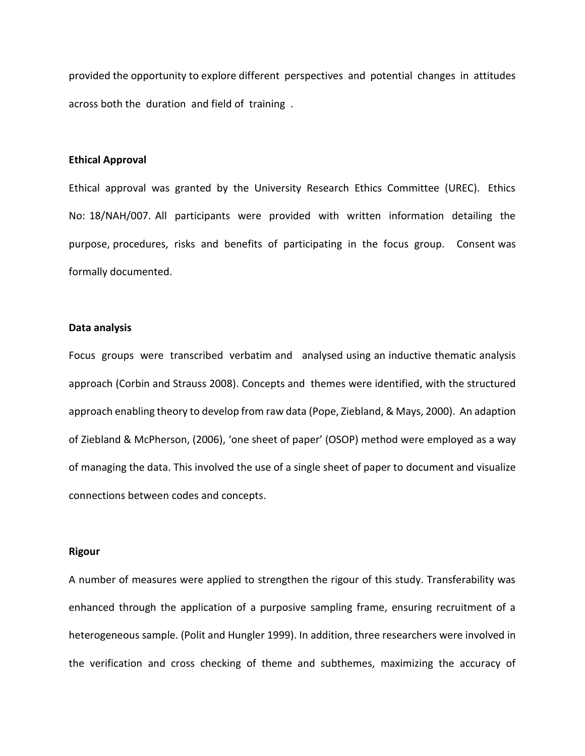provided the opportunity to explore different perspectives and potential changes in attitudes across both the duration and field of training .

#### **Ethical Approval**

Ethical approval was granted by the University Research Ethics Committee (UREC). Ethics No: 18/NAH/007. All participants were provided with written information detailing the purpose, procedures, risks and benefits of participating in the focus group. Consent was formally documented.

#### **Data analysis**

Focus groups were transcribed verbatim and analysed using an inductive thematic analysis approach (Corbin and Strauss 2008). Concepts and themes were identified, with the structured approach enabling theory to develop from raw data (Pope, Ziebland, & Mays, 2000). An adaption of Ziebland & McPherson, (2006), 'one sheet of paper' (OSOP) method were employed as a way of managing the data. This involved the use of a single sheet of paper to document and visualize connections between codes and concepts.

#### **Rigour**

A number of measures were applied to strengthen the rigour of this study. Transferability was enhanced through the application of a purposive sampling frame, ensuring recruitment of a heterogeneous sample. (Polit and Hungler 1999). In addition, three researchers were involved in the verification and cross checking of theme and subthemes, maximizing the accuracy of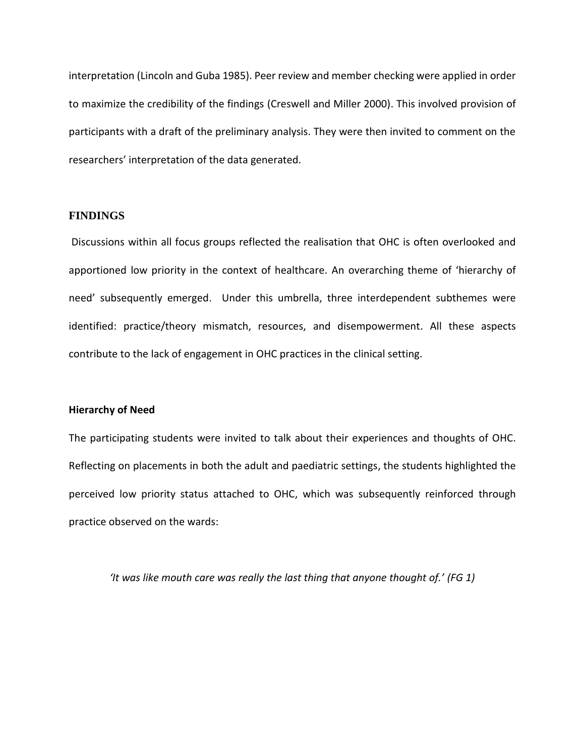interpretation (Lincoln and Guba 1985). Peer review and member checking were applied in order to maximize the credibility of the findings (Creswell and Miller 2000). This involved provision of participants with a draft of the preliminary analysis. They were then invited to comment on the researchers' interpretation of the data generated.

## **FINDINGS**

Discussions within all focus groups reflected the realisation that OHC is often overlooked and apportioned low priority in the context of healthcare. An overarching theme of 'hierarchy of need' subsequently emerged. Under this umbrella, three interdependent subthemes were identified: practice/theory mismatch, resources, and disempowerment. All these aspects contribute to the lack of engagement in OHC practices in the clinical setting.

#### **Hierarchy of Need**

The participating students were invited to talk about their experiences and thoughts of OHC. Reflecting on placements in both the adult and paediatric settings, the students highlighted the perceived low priority status attached to OHC, which was subsequently reinforced through practice observed on the wards:

*'It was like mouth care was really the last thing that anyone thought of.' (FG 1)*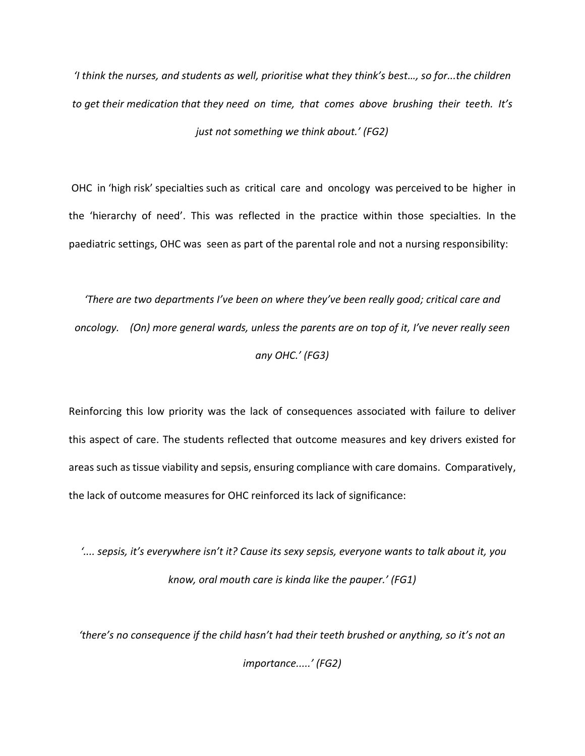*'I think the nurses, and students as well, prioritise what they think's best…, so for...the children to get their medication that they need on time, that comes above brushing their teeth. It's just not something we think about.' (FG2)*

OHC in 'high risk' specialties such as critical care and oncology was perceived to be higher in the 'hierarchy of need'. This was reflected in the practice within those specialties. In the paediatric settings, OHC was seen as part of the parental role and not a nursing responsibility:

*'There are two departments I've been on where they've been really good; critical care and oncology. (On) more general wards, unless the parents are on top of it, I've never really seen any OHC.' (FG3)*

Reinforcing this low priority was the lack of consequences associated with failure to deliver this aspect of care. The students reflected that outcome measures and key drivers existed for areas such as tissue viability and sepsis, ensuring compliance with care domains. Comparatively, the lack of outcome measures for OHC reinforced its lack of significance:

*'.... sepsis, it's everywhere isn't it? Cause its sexy sepsis, everyone wants to talk about it, you know, oral mouth care is kinda like the pauper.' (FG1)*

*'there's no consequence if the child hasn't had their teeth brushed or anything, so it's not an* 

*importance.....' (FG2)*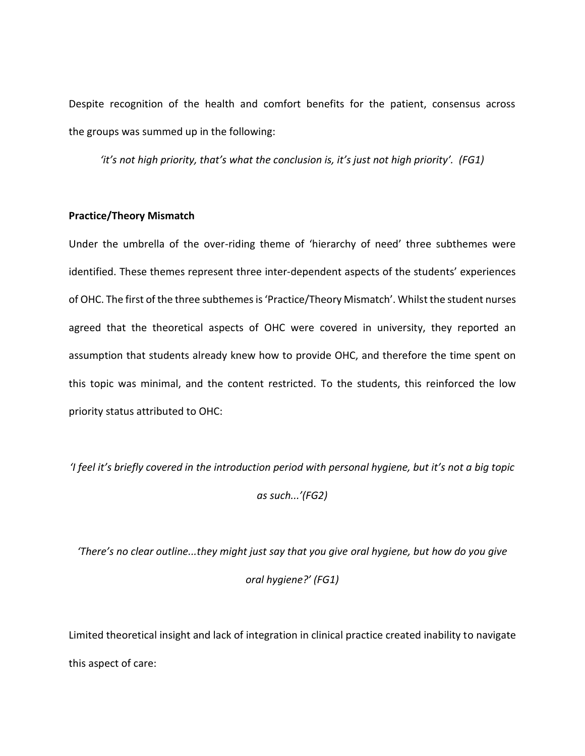Despite recognition of the health and comfort benefits for the patient, consensus across the groups was summed up in the following:

*'it's not high priority, that's what the conclusion is, it's just not high priority'. (FG1)*

#### **Practice/Theory Mismatch**

Under the umbrella of the over-riding theme of 'hierarchy of need' three subthemes were identified. These themes represent three inter-dependent aspects of the students' experiences of OHC. The first of the three subthemes is 'Practice/Theory Mismatch'. Whilst the student nurses agreed that the theoretical aspects of OHC were covered in university, they reported an assumption that students already knew how to provide OHC, and therefore the time spent on this topic was minimal, and the content restricted. To the students, this reinforced the low priority status attributed to OHC:

*'I feel it's briefly covered in the introduction period with personal hygiene, but it's not a big topic* 

*as such...'(FG2)*

*'There's no clear outline...they might just say that you give oral hygiene, but how do you give oral hygiene?' (FG1)*

Limited theoretical insight and lack of integration in clinical practice created inability to navigate this aspect of care: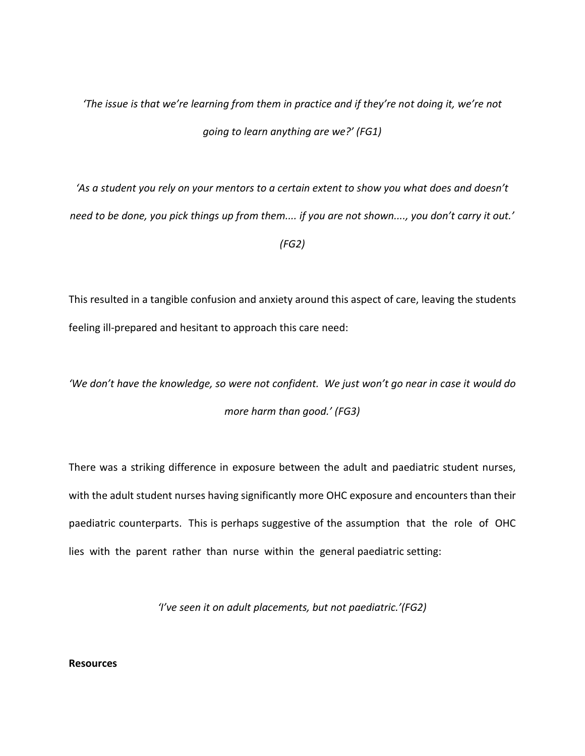## *'The issue is that we're learning from them in practice and if they're not doing it, we're not going to learn anything are we?' (FG1)*

*'As a student you rely on your mentors to a certain extent to show you what does and doesn't need to be done, you pick things up from them.... if you are not shown...., you don't carry it out.'* 

### *(FG2)*

This resulted in a tangible confusion and anxiety around this aspect of care, leaving the students feeling ill-prepared and hesitant to approach this care need:

*'We don't have the knowledge, so were not confident. We just won't go near in case it would do more harm than good.' (FG3)*

There was a striking difference in exposure between the adult and paediatric student nurses, with the adult student nurses having significantly more OHC exposure and encounters than their paediatric counterparts. This is perhaps suggestive of the assumption that the role of OHC lies with the parent rather than nurse within the general paediatric setting:

*'I've seen it on adult placements, but not paediatric.'(FG2)*

## **Resources**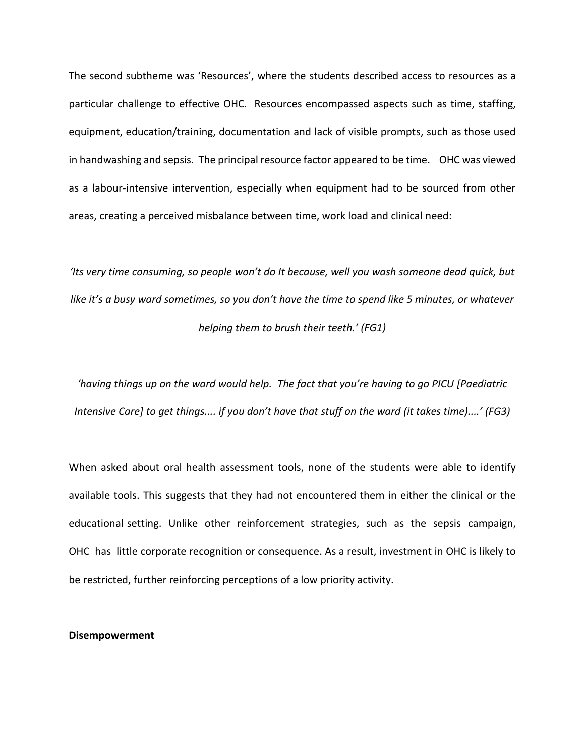The second subtheme was 'Resources', where the students described access to resources as a particular challenge to effective OHC. Resources encompassed aspects such as time, staffing, equipment, education/training, documentation and lack of visible prompts, such as those used in handwashing and sepsis. The principal resource factor appeared to be time. OHC was viewed as a labour-intensive intervention, especially when equipment had to be sourced from other areas, creating a perceived misbalance between time, work load and clinical need:

*'Its very time consuming, so people won't do It because, well you wash someone dead quick, but like it's a busy ward sometimes, so you don't have the time to spend like 5 minutes, or whatever helping them to brush their teeth.' (FG1)*

*'having things up on the ward would help. The fact that you're having to go PICU [Paediatric Intensive Care] to get things.... if you don't have that stuff on the ward (it takes time)....' (FG3)*

When asked about oral health assessment tools, none of the students were able to identify available tools. This suggests that they had not encountered them in either the clinical or the educational setting. Unlike other reinforcement strategies, such as the sepsis campaign, OHC has little corporate recognition or consequence. As a result, investment in OHC is likely to be restricted, further reinforcing perceptions of a low priority activity.

#### **Disempowerment**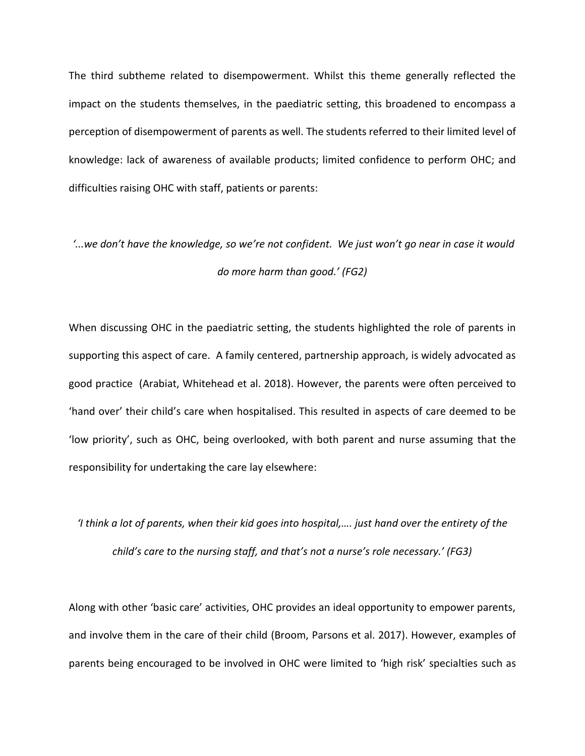The third subtheme related to disempowerment. Whilst this theme generally reflected the impact on the students themselves, in the paediatric setting, this broadened to encompass a perception of disempowerment of parents as well. The students referred to their limited level of knowledge: lack of awareness of available products; limited confidence to perform OHC; and difficulties raising OHC with staff, patients or parents:

# *'...we don't have the knowledge, so we're not confident. We just won't go near in case it would do more harm than good.' (FG2)*

When discussing OHC in the paediatric setting, the students highlighted the role of parents in supporting this aspect of care. A family centered, partnership approach, is widely advocated as good practice (Arabiat, Whitehead et al. 2018). However, the parents were often perceived to 'hand over' their child's care when hospitalised. This resulted in aspects of care deemed to be 'low priority', such as OHC, being overlooked, with both parent and nurse assuming that the responsibility for undertaking the care lay elsewhere:

## *'I think a lot of parents, when their kid goes into hospital,…. just hand over the entirety of the child's care to the nursing staff, and that's not a nurse's role necessary.' (FG3)*

Along with other 'basic care' activities, OHC provides an ideal opportunity to empower parents, and involve them in the care of their child (Broom, Parsons et al. 2017). However, examples of parents being encouraged to be involved in OHC were limited to 'high risk' specialties such as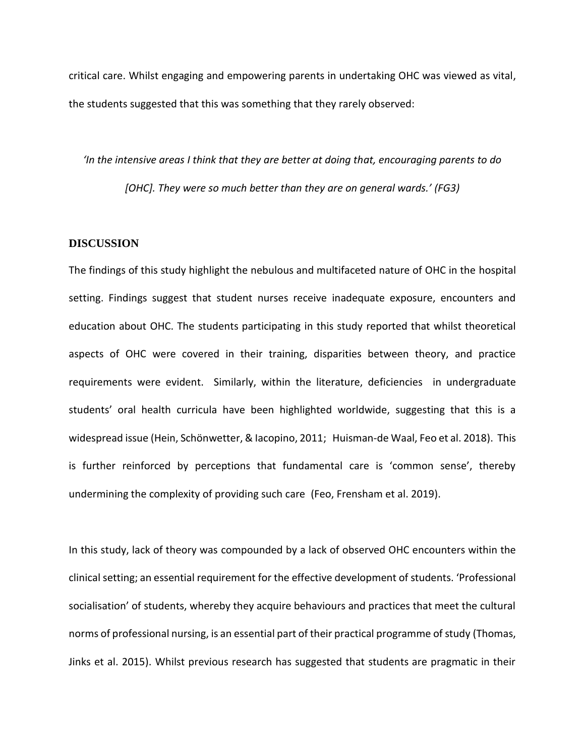critical care. Whilst engaging and empowering parents in undertaking OHC was viewed as vital, the students suggested that this was something that they rarely observed:

*'In the intensive areas I think that they are better at doing that, encouraging parents to do [OHC]. They were so much better than they are on general wards.' (FG3)*

### **DISCUSSION**

The findings of this study highlight the nebulous and multifaceted nature of OHC in the hospital setting. Findings suggest that student nurses receive inadequate exposure, encounters and education about OHC. The students participating in this study reported that whilst theoretical aspects of OHC were covered in their training, disparities between theory, and practice requirements were evident. Similarly, within the literature, deficiencies in undergraduate students' oral health curricula have been highlighted worldwide, suggesting that this is a widespread issue (Hein, Schönwetter, & Iacopino, 2011; Huisman-de Waal, Feo et al. 2018). This is further reinforced by perceptions that fundamental care is 'common sense', thereby undermining the complexity of providing such care (Feo, Frensham et al. 2019).

In this study, lack of theory was compounded by a lack of observed OHC encounters within the clinical setting; an essential requirement for the effective development of students. 'Professional socialisation' of students, whereby they acquire behaviours and practices that meet the cultural norms of professional nursing, is an essential part of their practical programme of study (Thomas, Jinks et al. 2015). Whilst previous research has suggested that students are pragmatic in their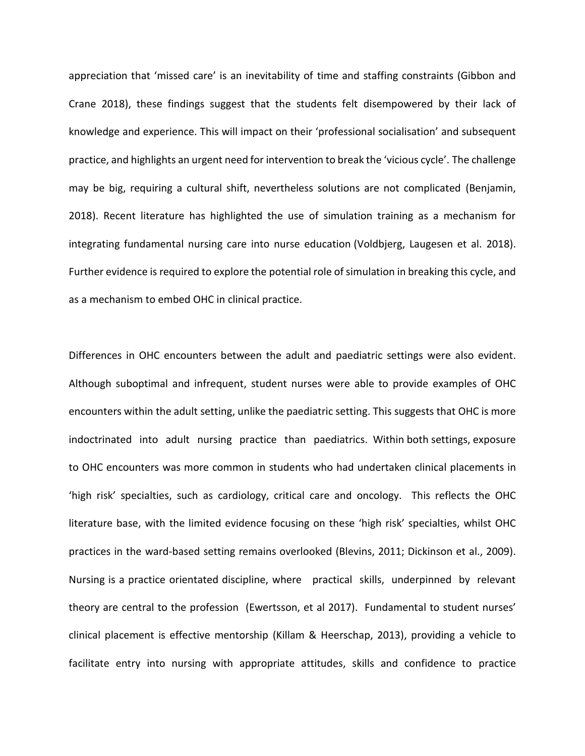appreciation that 'missed care' is an inevitability of time and staffing constraints (Gibbon and Crane 2018), these findings suggest that the students felt disempowered by their lack of knowledge and experience. This will impact on their 'professional socialisation' and subsequent practice, and highlights an urgent need for intervention to break the 'vicious cycle'. The challenge may be big, requiring a cultural shift, nevertheless solutions are not complicated (Benjamin, 2018). Recent literature has highlighted the use of simulation training as a mechanism for integrating fundamental nursing care into nurse education (Voldbjerg, Laugesen et al. 2018). Further evidence is required to explore the potential role of simulation in breaking this cycle, and as a mechanism to embed OHC in clinical practice.

Differences in OHC encounters between the adult and paediatric settings were also evident. Although suboptimal and infrequent, student nurses were able to provide examples of OHC encounters within the adult setting, unlike the paediatric setting. This suggests that OHC is more indoctrinated into adult nursing practice than paediatrics. Within both settings, exposure to OHC encounters was more common in students who had undertaken clinical placements in 'high risk' specialties, such as cardiology, critical care and oncology. This reflects the OHC literature base, with the limited evidence focusing on these 'high risk' specialties, whilst OHC practices in the ward-based setting remains overlooked (Blevins, 2011; Dickinson et al., 2009). Nursing is a practice orientated discipline, where practical skills, underpinned by relevant theory are central to the profession (Ewertsson, et al 2017). Fundamental to student nurses' clinical placement is effective mentorship (Killam & Heerschap, 2013), providing a vehicle to facilitate entry into nursing with appropriate attitudes, skills and confidence to practice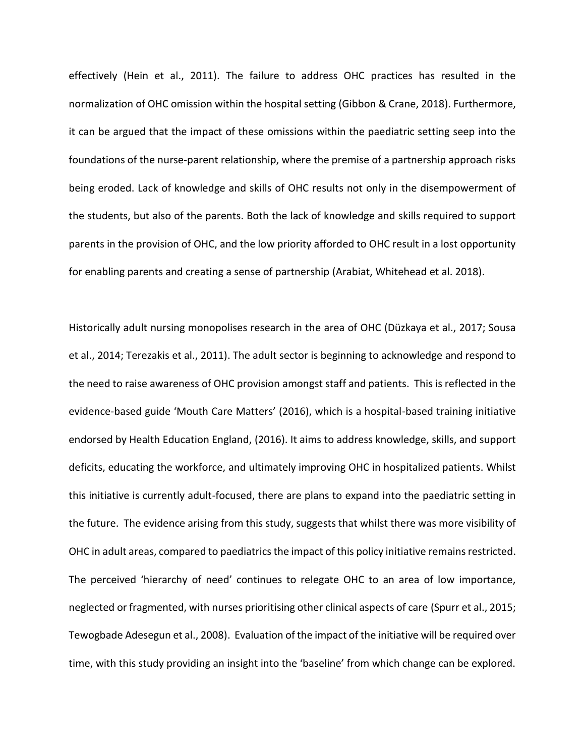effectively (Hein et al., 2011). The failure to address OHC practices has resulted in the normalization of OHC omission within the hospital setting (Gibbon & Crane, 2018). Furthermore, it can be argued that the impact of these omissions within the paediatric setting seep into the foundations of the nurse-parent relationship, where the premise of a partnership approach risks being eroded. Lack of knowledge and skills of OHC results not only in the disempowerment of the students, but also of the parents. Both the lack of knowledge and skills required to support parents in the provision of OHC, and the low priority afforded to OHC result in a lost opportunity for enabling parents and creating a sense of partnership (Arabiat, Whitehead et al. 2018).

Historically adult nursing monopolises research in the area of OHC (Düzkaya et al., 2017; Sousa et al., 2014; Terezakis et al., 2011). The adult sector is beginning to acknowledge and respond to the need to raise awareness of OHC provision amongst staff and patients. This is reflected in the evidence-based guide 'Mouth Care Matters' (2016), which is a hospital-based training initiative endorsed by Health Education England, (2016). It aims to address knowledge, skills, and support deficits, educating the workforce, and ultimately improving OHC in hospitalized patients. Whilst this initiative is currently adult-focused, there are plans to expand into the paediatric setting in the future. The evidence arising from this study, suggests that whilst there was more visibility of OHC in adult areas, compared to paediatrics the impact of this policy initiative remains restricted. The perceived 'hierarchy of need' continues to relegate OHC to an area of low importance, neglected or fragmented, with nurses prioritising other clinical aspects of care (Spurr et al., 2015; Tewogbade Adesegun et al., 2008). Evaluation of the impact of the initiative will be required over time, with this study providing an insight into the 'baseline' from which change can be explored.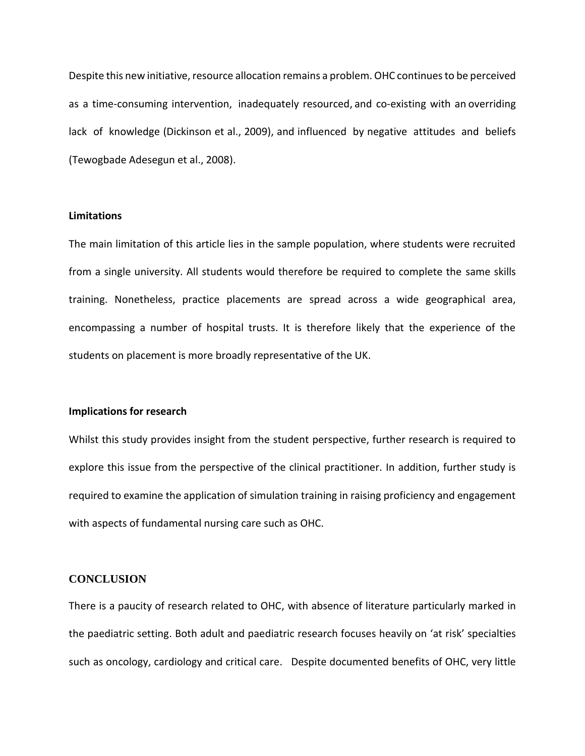Despite this new initiative, resource allocation remains a problem. OHC continues to be perceived as a time-consuming intervention, inadequately resourced, and co-existing with an overriding lack of knowledge (Dickinson et al., 2009), and influenced by negative attitudes and beliefs (Tewogbade Adesegun et al., 2008).

#### **Limitations**

The main limitation of this article lies in the sample population, where students were recruited from a single university. All students would therefore be required to complete the same skills training. Nonetheless, practice placements are spread across a wide geographical area, encompassing a number of hospital trusts. It is therefore likely that the experience of the students on placement is more broadly representative of the UK.

### **Implications for research**

Whilst this study provides insight from the student perspective, further research is required to explore this issue from the perspective of the clinical practitioner. In addition, further study is required to examine the application of simulation training in raising proficiency and engagement with aspects of fundamental nursing care such as OHC.

## **CONCLUSION**

There is a paucity of research related to OHC, with absence of literature particularly marked in the paediatric setting. Both adult and paediatric research focuses heavily on 'at risk' specialties such as oncology, cardiology and critical care. Despite documented benefits of OHC, very little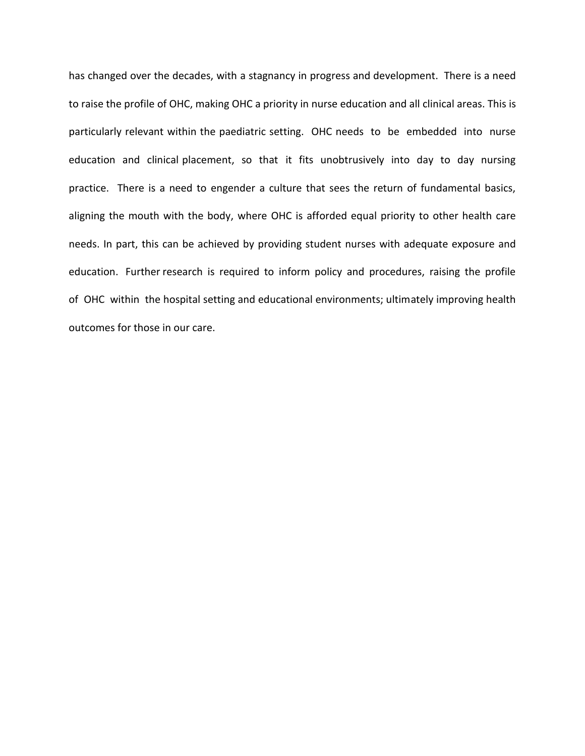has changed over the decades, with a stagnancy in progress and development. There is a need to raise the profile of OHC, making OHC a priority in nurse education and all clinical areas. This is particularly relevant within the paediatric setting. OHC needs to be embedded into nurse education and clinical placement, so that it fits unobtrusively into day to day nursing practice. There is a need to engender a culture that sees the return of fundamental basics, aligning the mouth with the body, where OHC is afforded equal priority to other health care needs. In part, this can be achieved by providing student nurses with adequate exposure and education. Further research is required to inform policy and procedures, raising the profile of OHC within the hospital setting and educational environments; ultimately improving health outcomes for those in our care.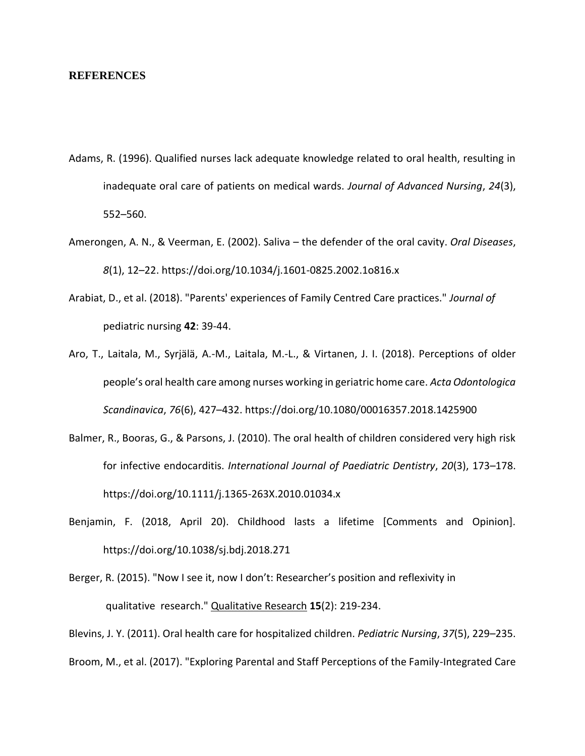#### **REFERENCES**

- Adams, R. (1996). Qualified nurses lack adequate knowledge related to oral health, resulting in inadequate oral care of patients on medical wards. *Journal of Advanced Nursing*, *24*(3), 552–560.
- Amerongen, A. N., & Veerman, E. (2002). Saliva the defender of the oral cavity. *Oral Diseases*, *8*(1), 12–22. https://doi.org/10.1034/j.1601-0825.2002.1o816.x
- Arabiat, D., et al. (2018). "Parents' experiences of Family Centred Care practices." *Journal of*  pediatric nursing **42**: 39-44.
- Aro, T., Laitala, M., Syrjälä, A.-M., Laitala, M.-L., & Virtanen, J. I. (2018). Perceptions of older people's oral health care among nurses working in geriatric home care. *Acta Odontologica Scandinavica*, *76*(6), 427–432. https://doi.org/10.1080/00016357.2018.1425900
- Balmer, R., Booras, G., & Parsons, J. (2010). The oral health of children considered very high risk for infective endocarditis. *International Journal of Paediatric Dentistry*, *20*(3), 173–178. https://doi.org/10.1111/j.1365-263X.2010.01034.x
- Benjamin, F. (2018, April 20). Childhood lasts a lifetime [Comments and Opinion]. https://doi.org/10.1038/sj.bdj.2018.271
- Berger, R. (2015). "Now I see it, now I don't: Researcher's position and reflexivity in qualitative research." Qualitative Research **15**(2): 219-234.

Blevins, J. Y. (2011). Oral health care for hospitalized children. *Pediatric Nursing*, *37*(5), 229–235.

Broom, M., et al. (2017). "Exploring Parental and Staff Perceptions of the Family-Integrated Care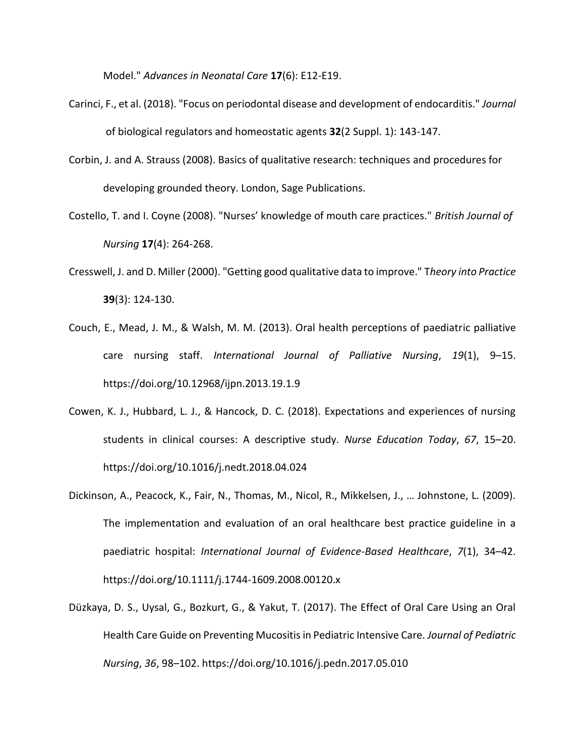Model." *Advances in Neonatal Care* **17**(6): E12-E19.

- Carinci, F., et al. (2018). "Focus on periodontal disease and development of endocarditis." *Journal* of biological regulators and homeostatic agents **32**(2 Suppl. 1): 143-147.
- Corbin, J. and A. Strauss (2008). Basics of qualitative research: techniques and procedures for developing grounded theory. London, Sage Publications.
- Costello, T. and I. Coyne (2008). "Nurses' knowledge of mouth care practices." *British Journal of Nursing* **17**(4): 264-268.
- Cresswell, J. and D. Miller (2000). "Getting good qualitative data to improve." T*heory into Practice* **39**(3): 124-130.
- Couch, E., Mead, J. M., & Walsh, M. M. (2013). Oral health perceptions of paediatric palliative care nursing staff. *International Journal of Palliative Nursing*, *19*(1), 9–15. https://doi.org/10.12968/ijpn.2013.19.1.9
- Cowen, K. J., Hubbard, L. J., & Hancock, D. C. (2018). Expectations and experiences of nursing students in clinical courses: A descriptive study. *Nurse Education Today*, *67*, 15–20. https://doi.org/10.1016/j.nedt.2018.04.024
- Dickinson, A., Peacock, K., Fair, N., Thomas, M., Nicol, R., Mikkelsen, J., … Johnstone, L. (2009). The implementation and evaluation of an oral healthcare best practice guideline in a paediatric hospital: *International Journal of Evidence-Based Healthcare*, *7*(1), 34–42. https://doi.org/10.1111/j.1744-1609.2008.00120.x
- Düzkaya, D. S., Uysal, G., Bozkurt, G., & Yakut, T. (2017). The Effect of Oral Care Using an Oral Health Care Guide on Preventing Mucositis in Pediatric Intensive Care. *Journal of Pediatric Nursing*, *36*, 98–102. https://doi.org/10.1016/j.pedn.2017.05.010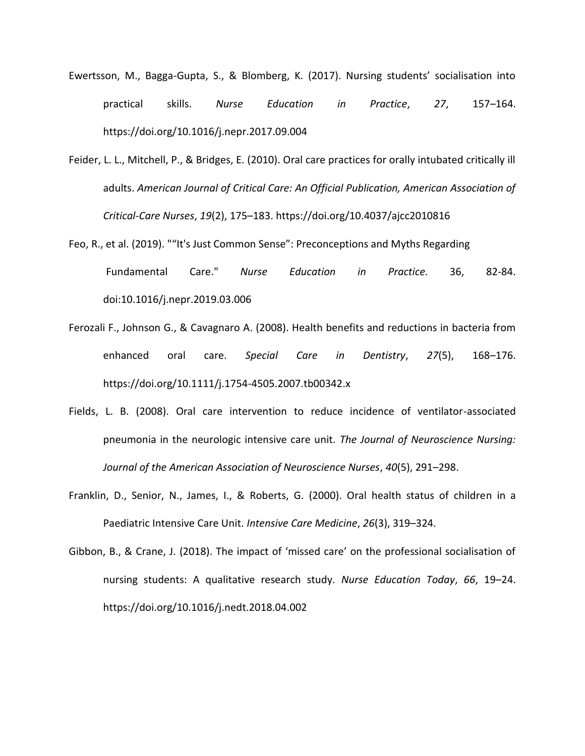- Ewertsson, M., Bagga-Gupta, S., & Blomberg, K. (2017). Nursing students' socialisation into practical skills. *Nurse Education in Practice*, *27*, 157–164. https://doi.org/10.1016/j.nepr.2017.09.004
- Feider, L. L., Mitchell, P., & Bridges, E. (2010). Oral care practices for orally intubated critically ill adults. *American Journal of Critical Care: An Official Publication, American Association of Critical-Care Nurses*, *19*(2), 175–183. https://doi.org/10.4037/ajcc2010816
- Feo, R., et al. (2019). ""It's Just Common Sense": Preconceptions and Myths Regarding Fundamental Care." *Nurse Education in Practice.* 36, 82-84. doi:10.1016/j.nepr.2019.03.006
- Ferozali F., Johnson G., & Cavagnaro A. (2008). Health benefits and reductions in bacteria from enhanced oral care. *Special Care in Dentistry*, *27*(5), 168–176. https://doi.org/10.1111/j.1754-4505.2007.tb00342.x
- Fields, L. B. (2008). Oral care intervention to reduce incidence of ventilator-associated pneumonia in the neurologic intensive care unit. *The Journal of Neuroscience Nursing: Journal of the American Association of Neuroscience Nurses*, *40*(5), 291–298.
- Franklin, D., Senior, N., James, I., & Roberts, G. (2000). Oral health status of children in a Paediatric Intensive Care Unit. *Intensive Care Medicine*, *26*(3), 319–324.
- Gibbon, B., & Crane, J. (2018). The impact of 'missed care' on the professional socialisation of nursing students: A qualitative research study. *Nurse Education Today*, *66*, 19–24. https://doi.org/10.1016/j.nedt.2018.04.002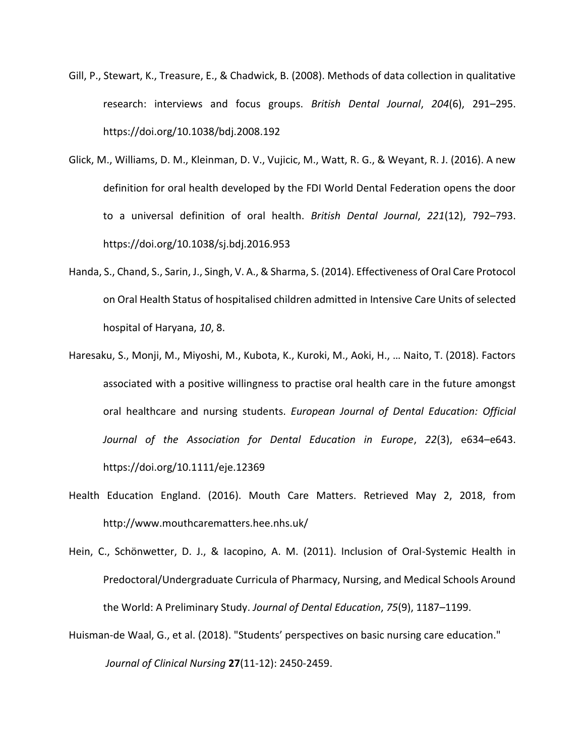- Gill, P., Stewart, K., Treasure, E., & Chadwick, B. (2008). Methods of data collection in qualitative research: interviews and focus groups. *British Dental Journal*, *204*(6), 291–295. https://doi.org/10.1038/bdj.2008.192
- Glick, M., Williams, D. M., Kleinman, D. V., Vujicic, M., Watt, R. G., & Weyant, R. J. (2016). A new definition for oral health developed by the FDI World Dental Federation opens the door to a universal definition of oral health. *British Dental Journal*, *221*(12), 792–793. https://doi.org/10.1038/sj.bdj.2016.953
- Handa, S., Chand, S., Sarin, J., Singh, V. A., & Sharma, S. (2014). Effectiveness of Oral Care Protocol on Oral Health Status of hospitalised children admitted in Intensive Care Units of selected hospital of Haryana, *10*, 8.
- Haresaku, S., Monji, M., Miyoshi, M., Kubota, K., Kuroki, M., Aoki, H., … Naito, T. (2018). Factors associated with a positive willingness to practise oral health care in the future amongst oral healthcare and nursing students. *European Journal of Dental Education: Official Journal of the Association for Dental Education in Europe*, *22*(3), e634–e643. https://doi.org/10.1111/eje.12369
- Health Education England. (2016). Mouth Care Matters. Retrieved May 2, 2018, from http://www.mouthcarematters.hee.nhs.uk/
- Hein, C., Schönwetter, D. J., & Iacopino, A. M. (2011). Inclusion of Oral-Systemic Health in Predoctoral/Undergraduate Curricula of Pharmacy, Nursing, and Medical Schools Around the World: A Preliminary Study. *Journal of Dental Education*, *75*(9), 1187–1199.
- Huisman‐de Waal, G., et al. (2018). "Students' perspectives on basic nursing care education." *Journal of Clinical Nursing* **27**(11-12): 2450-2459.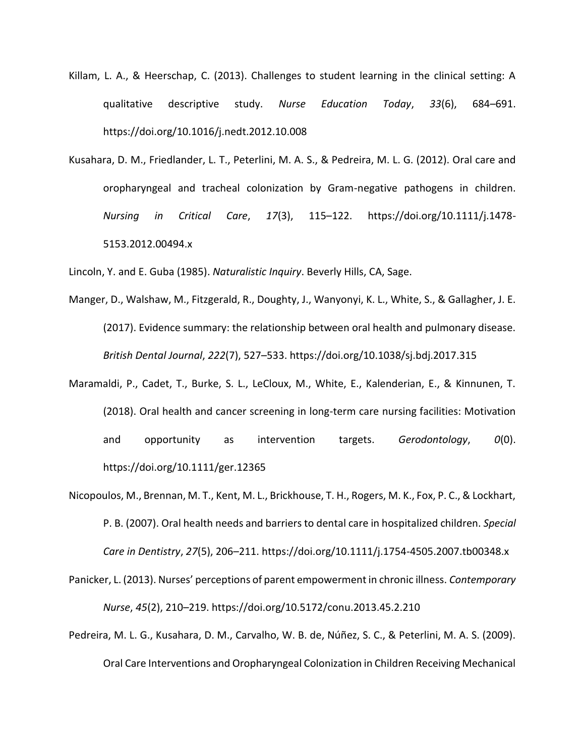- Killam, L. A., & Heerschap, C. (2013). Challenges to student learning in the clinical setting: A qualitative descriptive study. *Nurse Education Today*, *33*(6), 684–691. https://doi.org/10.1016/j.nedt.2012.10.008
- Kusahara, D. M., Friedlander, L. T., Peterlini, M. A. S., & Pedreira, M. L. G. (2012). Oral care and oropharyngeal and tracheal colonization by Gram-negative pathogens in children. *Nursing in Critical Care*, *17*(3), 115–122. https://doi.org/10.1111/j.1478- 5153.2012.00494.x

Lincoln, Y. and E. Guba (1985). *Naturalistic Inquiry*. Beverly Hills, CA, Sage.

- Manger, D., Walshaw, M., Fitzgerald, R., Doughty, J., Wanyonyi, K. L., White, S., & Gallagher, J. E. (2017). Evidence summary: the relationship between oral health and pulmonary disease. *British Dental Journal*, *222*(7), 527–533. https://doi.org/10.1038/sj.bdj.2017.315
- Maramaldi, P., Cadet, T., Burke, S. L., LeCloux, M., White, E., Kalenderian, E., & Kinnunen, T. (2018). Oral health and cancer screening in long-term care nursing facilities: Motivation and opportunity as intervention targets. *Gerodontology*, *0*(0). https://doi.org/10.1111/ger.12365
- Nicopoulos, M., Brennan, M. T., Kent, M. L., Brickhouse, T. H., Rogers, M. K., Fox, P. C., & Lockhart, P. B. (2007). Oral health needs and barriers to dental care in hospitalized children. *Special Care in Dentistry*, *27*(5), 206–211. https://doi.org/10.1111/j.1754-4505.2007.tb00348.x
- Panicker, L. (2013). Nurses' perceptions of parent empowerment in chronic illness. *Contemporary Nurse*, *45*(2), 210–219. https://doi.org/10.5172/conu.2013.45.2.210
- Pedreira, M. L. G., Kusahara, D. M., Carvalho, W. B. de, Núñez, S. C., & Peterlini, M. A. S. (2009). Oral Care Interventions and Oropharyngeal Colonization in Children Receiving Mechanical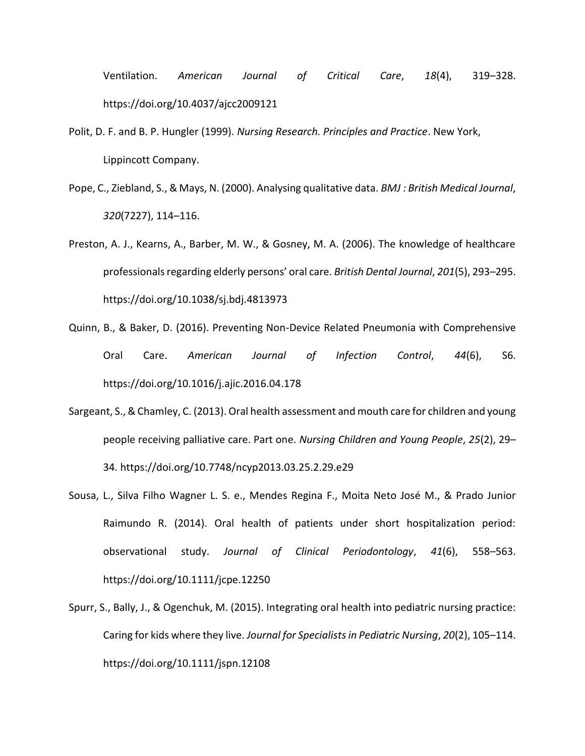Ventilation. *American Journal of Critical Care*, *18*(4), 319–328. https://doi.org/10.4037/ajcc2009121

- Polit, D. F. and B. P. Hungler (1999). *Nursing Research. Principles and Practice*. New York, Lippincott Company.
- Pope, C., Ziebland, S., & Mays, N. (2000). Analysing qualitative data. *BMJ : British Medical Journal*, *320*(7227), 114–116.
- Preston, A. J., Kearns, A., Barber, M. W., & Gosney, M. A. (2006). The knowledge of healthcare professionals regarding elderly persons' oral care. *British Dental Journal*, *201*(5), 293–295. https://doi.org/10.1038/sj.bdj.4813973
- Quinn, B., & Baker, D. (2016). Preventing Non-Device Related Pneumonia with Comprehensive Oral Care. *American Journal of Infection Control*, *44*(6), S6. https://doi.org/10.1016/j.ajic.2016.04.178
- Sargeant, S., & Chamley, C. (2013). Oral health assessment and mouth care for children and young people receiving palliative care. Part one. *Nursing Children and Young People*, *25*(2), 29– 34. https://doi.org/10.7748/ncyp2013.03.25.2.29.e29
- Sousa, L., Silva Filho Wagner L. S. e., Mendes Regina F., Moita Neto José M., & Prado Junior Raimundo R. (2014). Oral health of patients under short hospitalization period: observational study. *Journal of Clinical Periodontology*, *41*(6), 558–563. https://doi.org/10.1111/jcpe.12250
- Spurr, S., Bally, J., & Ogenchuk, M. (2015). Integrating oral health into pediatric nursing practice: Caring for kids where they live. *Journal for Specialists in Pediatric Nursing*, *20*(2), 105–114. https://doi.org/10.1111/jspn.12108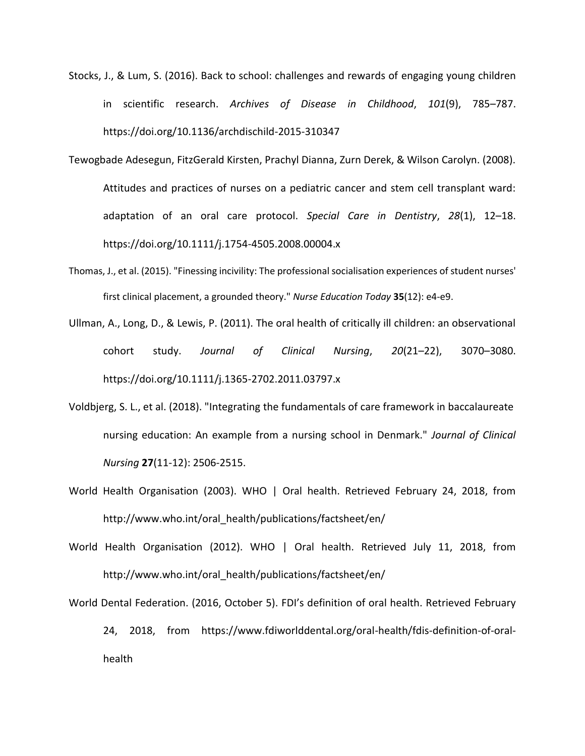- Stocks, J., & Lum, S. (2016). Back to school: challenges and rewards of engaging young children in scientific research. *Archives of Disease in Childhood*, *101*(9), 785–787. https://doi.org/10.1136/archdischild-2015-310347
- Tewogbade Adesegun, FitzGerald Kirsten, Prachyl Dianna, Zurn Derek, & Wilson Carolyn. (2008). Attitudes and practices of nurses on a pediatric cancer and stem cell transplant ward: adaptation of an oral care protocol. *Special Care in Dentistry*, *28*(1), 12–18. https://doi.org/10.1111/j.1754-4505.2008.00004.x
- Thomas, J., et al. (2015). "Finessing incivility: The professional socialisation experiences of student nurses' first clinical placement, a grounded theory." *Nurse Education Today* **35**(12): e4-e9.
- Ullman, A., Long, D., & Lewis, P. (2011). The oral health of critically ill children: an observational cohort study. *Journal of Clinical Nursing*, *20*(21–22), 3070–3080. https://doi.org/10.1111/j.1365-2702.2011.03797.x
- Voldbjerg, S. L., et al. (2018). "Integrating the fundamentals of care framework in baccalaureate nursing education: An example from a nursing school in Denmark." *Journal of Clinical Nursing* **27**(11-12): 2506-2515.
- World Health Organisation (2003). WHO | Oral health. Retrieved February 24, 2018, from http://www.who.int/oral\_health/publications/factsheet/en/
- World Health Organisation (2012). WHO | Oral health. Retrieved July 11, 2018, from http://www.who.int/oral\_health/publications/factsheet/en/
- World Dental Federation. (2016, October 5). FDI's definition of oral health. Retrieved February 24, 2018, from https://www.fdiworlddental.org/oral-health/fdis-definition-of-oralhealth